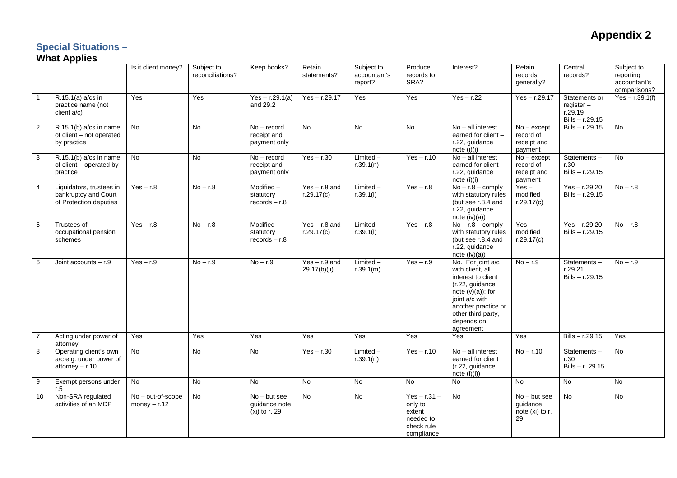# **Appendix 2**

### **Special Situations –**

#### **What Applies**

|                |                                                                            | Is it client money?                 | Subject to<br>reconciliations? | Keep books?                                      | Retain<br>statements?           | Subject to<br>accountant's<br>report? | Produce<br>records to<br>SRA?                                                | Interest?                                                                                                                                                                                       | Retain<br>records<br>generally?                      | Central<br>records?                                      | Subject to<br>reporting<br>accountant's<br>comparisons? |
|----------------|----------------------------------------------------------------------------|-------------------------------------|--------------------------------|--------------------------------------------------|---------------------------------|---------------------------------------|------------------------------------------------------------------------------|-------------------------------------------------------------------------------------------------------------------------------------------------------------------------------------------------|------------------------------------------------------|----------------------------------------------------------|---------------------------------------------------------|
| $\overline{1}$ | R.15.1(a) a/cs in<br>practice name (not<br>client a/c)                     | Yes                                 | Yes                            | $Yes - r.29.1(a)$<br>and 29.2                    | $Yes - r.29.17$                 | Yes                                   | Yes                                                                          | $Yes - r.22$                                                                                                                                                                                    | $Yes - r.29.17$                                      | Statements or<br>register-<br>r.29.19<br>Bills - r.29.15 | $Yes - r.39.1(f)$                                       |
| $\overline{2}$ | $R.15.1(b)$ a/cs in name<br>of client - not operated<br>by practice        | <b>No</b>                           | <b>No</b>                      | $No - record$<br>receipt and<br>payment only     | <b>No</b>                       | <b>No</b>                             | <b>No</b>                                                                    | $No - all interest$<br>earned for client -<br>r.22, guidance<br>note $(i)(i)$                                                                                                                   | $No - except$<br>record of<br>receipt and<br>payment | $Bills - r.29.15$                                        | <b>No</b>                                               |
| $\overline{3}$ | $R.15.1(b)$ a/cs in name<br>of client – operated by<br>practice            | <b>No</b>                           | <b>No</b>                      | $No - record$<br>receipt and<br>payment only     | $Yes - r.30$                    | Limited-<br>r.39.1(n)                 | $Yes - r.10$                                                                 | No - all interest<br>earned for client -<br>r.22, guidance<br>note $(i)(i)$                                                                                                                     | $No - except$<br>record of<br>receipt and<br>payment | Statements-<br>r.30<br>$Bills - r.29.15$                 | <b>No</b>                                               |
| $\overline{4}$ | Liquidators, trustees in<br>bankruptcy and Court<br>of Protection deputies | $Yes - r.8$                         | $No - r.8$                     | Modified -<br>statutory<br>$records - r.8$       | $Yes - r.8$ and<br>r.29.17(c)   | $Limited -$<br>r.39.1(l)              | $Yes - r.8$                                                                  | $No - r.8 - \text{comply}$<br>with statutory rules<br>(but see r.8.4 and<br>r.22, guidance<br>note $(iv)(a)$                                                                                    | $Yes -$<br>modified<br>r.29.17(c)                    | $Yes - r.29.20$<br>Bills - r.29.15                       | $No - r.8$                                              |
| 5              | Trustees of<br>occupational pension<br>schemes                             | $Yes - r.8$                         | $No - r.8$                     | $Modified -$<br>statutory<br>$records - r.8$     | $Yes - r.8$ and<br>r.29.17(c)   | $Limited -$<br>r.39.1(l)              | $Yes - r.8$                                                                  | $No - r.8 - \text{comply}$<br>with statutory rules<br>(but see r.8.4 and<br>r.22, guidance<br>note $(iv)(a)$                                                                                    | $Yes -$<br>modified<br>r.29.17(c)                    | $Yes - r.29.20$<br>Bills-r.29.15                         | $No - r.8$                                              |
| 6              | Joint accounts $- r.9$                                                     | $Yes - r.9$                         | $No - r.9$                     | $No - r.9$                                       | $Yes - r.9$ and<br>29.17(b)(ii) | $Limited -$<br>r.39.1(m)              | $Yes - r.9$                                                                  | No. For joint a/c<br>with client, all<br>interest to client<br>(r.22, guidance<br>note $(v)(a)$ ; for<br>joint a/c with<br>another practice or<br>other third party,<br>depends on<br>agreement | $No - r.9$                                           | Statements-<br>r.29.21<br>$Bills - r.29.15$              | $No - r.9$                                              |
| $\overline{7}$ | Acting under power of<br>attorney                                          | Yes                                 | Yes                            | Yes                                              | Yes                             | Yes                                   | Yes                                                                          | Yes                                                                                                                                                                                             | Yes                                                  | $Bills - r.29.15$                                        | Yes                                                     |
| 8              | Operating client's own<br>a/c e.g. under power of<br>$attorney - r.10$     | <b>No</b>                           | <b>No</b>                      | No                                               | $Yes - r.30$                    | $Limited -$<br>r.39.1(n)              | $Yes - r.10$                                                                 | $No$ – all interest<br>earned for client<br>(r.22, guidance<br>note $(i)(i))$                                                                                                                   | $No - r.10$                                          | Statements-<br>r.30<br>Bills - r. 29.15                  | <b>No</b>                                               |
| 9              | Exempt persons under<br>r.5                                                | <b>No</b>                           | <b>No</b>                      | <b>No</b>                                        | No.                             | <b>No</b>                             | <b>No</b>                                                                    | <b>No</b>                                                                                                                                                                                       | <b>No</b>                                            | <b>No</b>                                                | <b>No</b>                                               |
| 10             | Non-SRA regulated<br>activities of an MDP                                  | No - out-of-scope<br>money $- r.12$ | <b>No</b>                      | $No$ – but see<br>guidance note<br>(xi) to r. 29 | <b>No</b>                       | <b>No</b>                             | $Yes - r.31 -$<br>only to<br>extent<br>needed to<br>check rule<br>compliance | <b>No</b>                                                                                                                                                                                       | $No - but see$<br>guidance<br>note (xi) to r.<br>29  | <b>No</b>                                                | <b>No</b>                                               |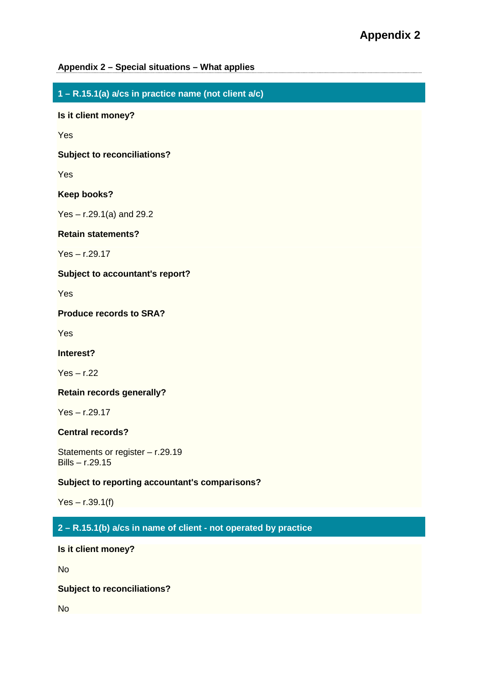### **Appendix 2 – Special situations – What applies**

**1 – R.15.1(a) a/cs in practice name (not client a/c)**

**Is it client money?**

Yes

**Subject to reconciliations?**

Yes

**Keep books?**

Yes – r.29.1(a) and 29.2

**Retain statements?**

Yes – r.29.17

**Subject to accountant's report?**

Yes

**Produce records to SRA?**

**Yes** 

**Interest?**

Yes – r.22

**Retain records generally?**

Yes – r.29.17

### **Central records?**

Statements or register – r.29.19 Bills – r.29.15

### **Subject to reporting accountant's comparisons?**

 $Yes - r.39.1(f)$ 

## **2 – R.15.1(b) a/cs in name of client - not operated by practice**

**Is it client money?**

No

**Subject to reconciliations?**

**No**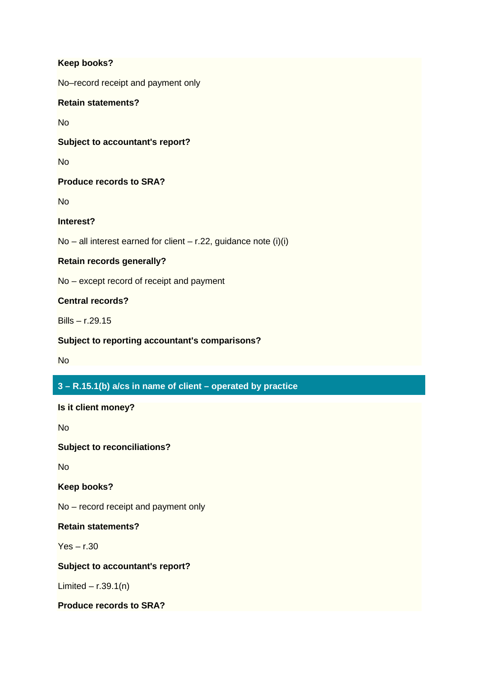#### **Keep books?**

No–record receipt and payment only

### **Retain statements?**

No

### **Subject to accountant's report?**

No

### **Produce records to SRA?**

**No** 

### **Interest?**

No – all interest earned for client – r.22, guidance note  $(i)(i)$ 

### **Retain records generally?**

No – except record of receipt and payment

### **Central records?**

Bills – r.29.15

### **Subject to reporting accountant's comparisons?**

No

### **3 – R.15.1(b) a/cs in name of client – operated by practice**

**Is it client money?**

No

**Subject to reconciliations?**

No

**Keep books?**

No – record receipt and payment only

**Retain statements?**

Yes – r.30

### **Subject to accountant's report?**

Limited –  $r.39.1(n)$ 

**Produce records to SRA?**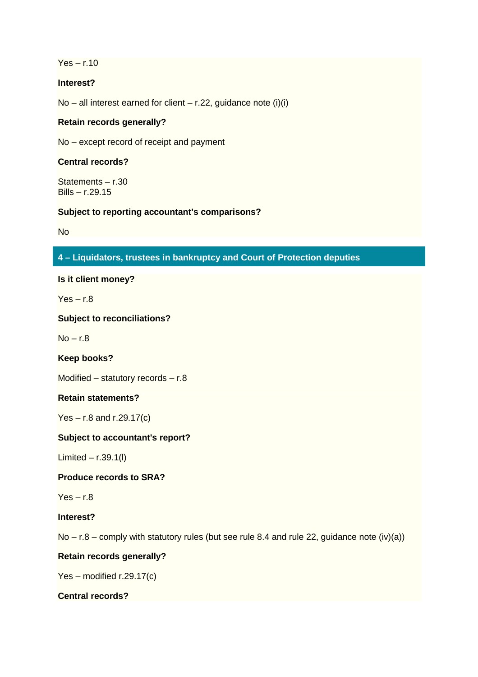$Yes - r.10$ 

### **Interest?**

No – all interest earned for client – r.22, guidance note  $(i)(i)$ 

### **Retain records generally?**

No – except record of receipt and payment

### **Central records?**

Statements – r.30 Bills – r.29.15

#### **Subject to reporting accountant's comparisons?**

No

### **4 – Liquidators, trustees in bankruptcy and Court of Protection deputies**

**Is it client money?**

 $Yes - r.8$ 

**Subject to reconciliations?**

 $No - r.8$ 

**Keep books?**

Modified – statutory records – r.8

#### **Retain statements?**

 $Yes - r.8$  and  $r.29.17(c)$ 

#### **Subject to accountant's report?**

Limited – r.39.1(l)

**Produce records to SRA?**

 $Yes - r.8$ 

**Interest?**

 $No - r.8 -$  comply with statutory rules (but see rule 8.4 and rule 22, guidance note (iv)(a))

#### **Retain records generally?**

Yes – modified r.29.17(c)

#### **Central records?**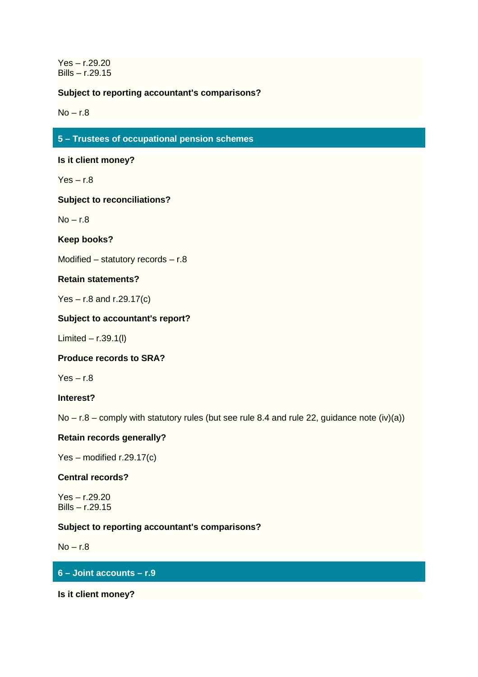Yes – r.29.20 Bills – r.29.15

### **Subject to reporting accountant's comparisons?**

 $No - r.8$ 

### **5 – Trustees of occupational pension schemes**

**Is it client money?**

 $Yes - r.8$ 

**Subject to reconciliations?**

 $No - r.8$ 

**Keep books?**

Modified – statutory records – r.8

### **Retain statements?**

 $Yes - r.8$  and  $r.29.17(c)$ 

#### **Subject to accountant's report?**

Limited – r.39.1(l)

**Produce records to SRA?**

 $Yes - r.8$ 

**Interest?**

 $No - r.8 -$  comply with statutory rules (but see rule 8.4 and rule 22, guidance note (iv)(a))

### **Retain records generally?**

Yes – modified r.29.17(c)

#### **Central records?**

Yes – r.29.20 Bills – r.29.15

### **Subject to reporting accountant's comparisons?**

 $No - r.8$ 

### **6 – Joint accounts – r.9**

**Is it client money?**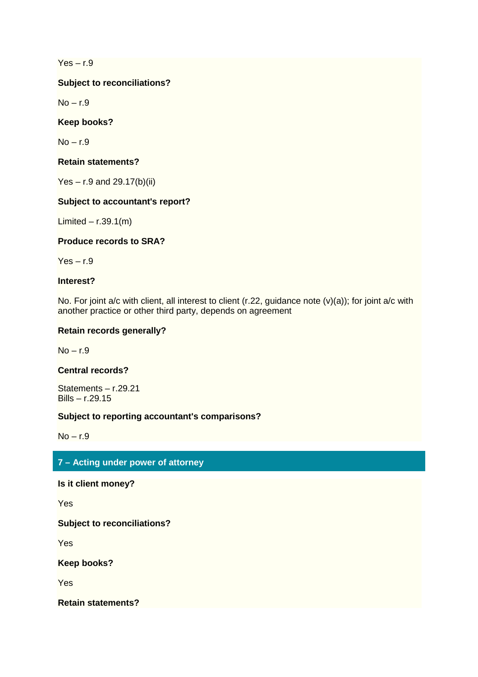$Yes - r.9$ 

**Subject to reconciliations?**

 $No - r.9$ 

**Keep books?**

 $No - r.9$ 

**Retain statements?**

Yes – r.9 and 29.17(b)(ii)

### **Subject to accountant's report?**

Limited –  $r.39.1(m)$ 

**Produce records to SRA?**

 $Yes - r.9$ 

**Interest?**

No. For joint a/c with client, all interest to client (r.22, guidance note (v)(a)); for joint a/c with another practice or other third party, depends on agreement

### **Retain records generally?**

 $No - r.9$ 

#### **Central records?**

Statements – r.29.21 Bills – r.29.15

#### **Subject to reporting accountant's comparisons?**

 $No - r.9$ 

### **7 – Acting under power of attorney**

**Is it client money?**

Yes

**Subject to reconciliations?**

Yes

**Keep books?**

Yes

**Retain statements?**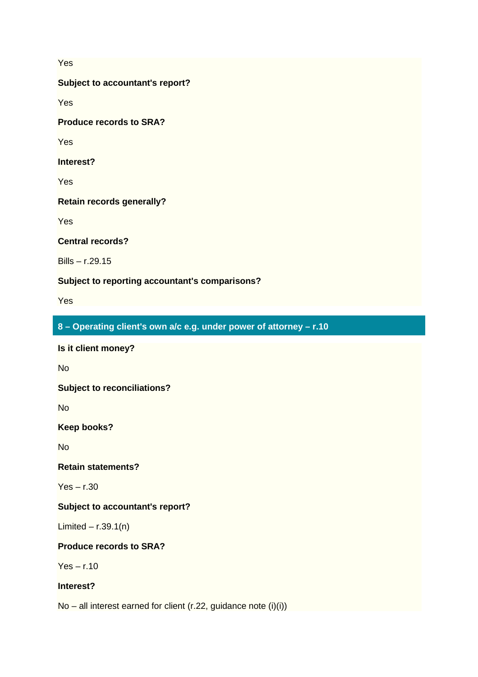Yes

**Subject to accountant's report?**

**Yes** 

**Produce records to SRA?**

Yes

**Interest?**

**Yes** 

**Retain records generally?**

Yes

**Central records?**

Bills – r.29.15

**Subject to reporting accountant's comparisons?**

Yes

**8 – Operating client's own a/c e.g. under power of attorney – r.10**

**Is it client money?**

**No** 

**Subject to reconciliations?**

No

**Keep books?**

**No** 

**Retain statements?**

Yes – r.30

### **Subject to accountant's report?**

Limited –  $r.39.1(n)$ 

### **Produce records to SRA?**

 $Yes - r.10$ 

### **Interest?**

No – all interest earned for client (r.22, guidance note (i)(i))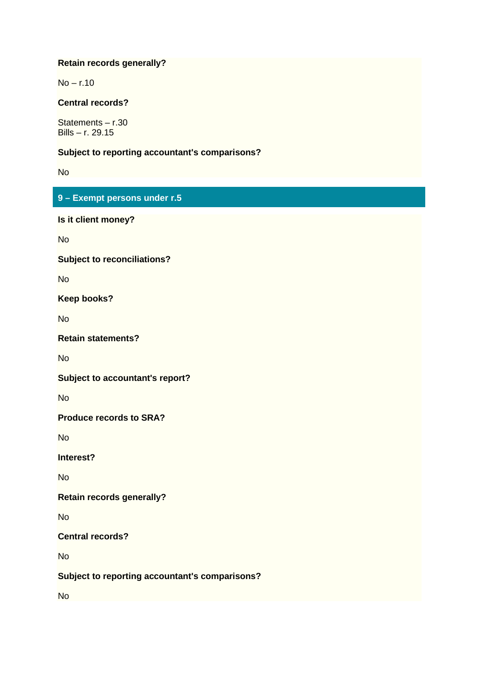### **Retain records generally?**

 $No - r.10$ 

### **Central records?**

Statements – r.30 Bills – r. 29.15

#### **Subject to reporting accountant's comparisons?**

No

## **9 – Exempt persons under r.5**

**Is it client money?**

**No** 

#### **Subject to reconciliations?**

No

**Keep books?**

**No** 

### **Retain statements?**

**No** 

**Subject to accountant's report?**

**No** 

**Produce records to SRA?**

No

**Interest?**

No

**Retain records generally?**

No

**Central records?**

**No** 

**Subject to reporting accountant's comparisons?**

**No**